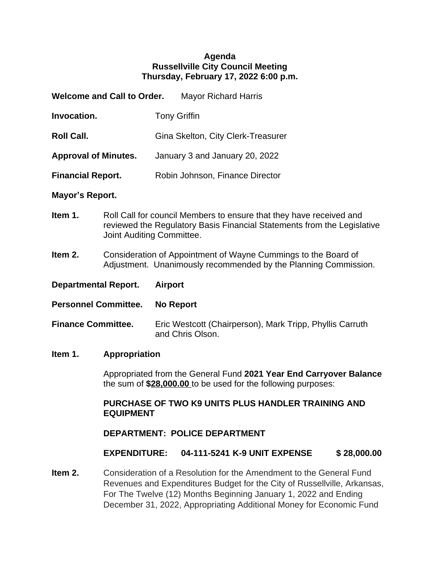### **Agenda Russellville City Council Meeting Thursday, February 17, 2022 6:00 p.m.**

| <b>Welcome and Call to Order.</b> |                                    | <b>Mayor Richard Harris</b> |
|-----------------------------------|------------------------------------|-----------------------------|
| Invocation.                       | <b>Tony Griffin</b>                |                             |
| <b>Roll Call.</b>                 | Gina Skelton, City Clerk-Treasurer |                             |
| <b>Approval of Minutes.</b>       | January 3 and January 20, 2022     |                             |
| <b>Financial Report.</b>          | Robin Johnson, Finance Director    |                             |

### **Mayor's Report.**

- **Item 1.** Roll Call for council Members to ensure that they have received and reviewed the Regulatory Basis Financial Statements from the Legislative Joint Auditing Committee.
- **Item 2.** Consideration of Appointment of Wayne Cummings to the Board of Adjustment. Unanimously recommended by the Planning Commission.
- **Departmental Report. Airport**
- **Personnel Committee. No Report**
- **Finance Committee.** Eric Westcott (Chairperson), Mark Tripp, Phyllis Carruth and Chris Olson.

### **Item 1. Appropriation**

Appropriated from the General Fund **2021 Year End Carryover Balance** the sum of **\$28,000.00** to be used for the following purposes:

### **PURCHASE OF TWO K9 UNITS PLUS HANDLER TRAINING AND EQUIPMENT**

### **DEPARTMENT: POLICE DEPARTMENT**

### **EXPENDITURE: 04-111-5241 K-9 UNIT EXPENSE \$ 28,000.00**

**Item 2.** Consideration of a Resolution for the Amendment to the General Fund Revenues and Expenditures Budget for the City of Russellville, Arkansas, For The Twelve (12) Months Beginning January 1, 2022 and Ending December 31, 2022, Appropriating Additional Money for Economic Fund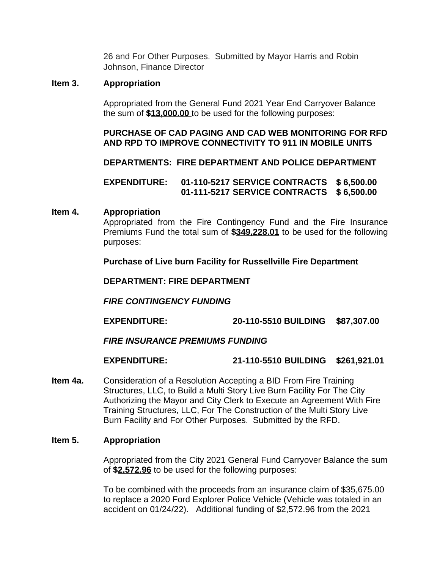26 and For Other Purposes. Submitted by Mayor Harris and Robin Johnson, Finance Director

### **Item 3. Appropriation**

Appropriated from the General Fund 2021 Year End Carryover Balance the sum of **\$13,000.00** to be used for the following purposes:

### **PURCHASE OF CAD PAGING AND CAD WEB MONITORING FOR RFD AND RPD TO IMPROVE CONNECTIVITY TO 911 IN MOBILE UNITS**

**DEPARTMENTS: FIRE DEPARTMENT AND POLICE DEPARTMENT**

**EXPENDITURE: 01-110-5217 SERVICE CONTRACTS \$ 6,500.00 01-111-5217 SERVICE CONTRACTS \$ 6,500.00**

#### **Item 4. Appropriation**

Appropriated from the Fire Contingency Fund and the Fire Insurance Premiums Fund the total sum of **\$349,228.01** to be used for the following purposes:

**Purchase of Live burn Facility for Russellville Fire Department**

**DEPARTMENT: FIRE DEPARTMENT**

*FIRE CONTINGENCY FUNDING*

**EXPENDITURE: 20-110-5510 BUILDING \$87,307.00**

### *FIRE INSURANCE PREMIUMS FUNDING*

### **EXPENDITURE: 21-110-5510 BUILDING \$261,921.01**

**Item 4a.** Consideration of a Resolution Accepting a BID From Fire Training Structures, LLC, to Build a Multi Story Live Burn Facility For The City Authorizing the Mayor and City Clerk to Execute an Agreement With Fire Training Structures, LLC, For The Construction of the Multi Story Live Burn Facility and For Other Purposes. Submitted by the RFD.

#### **Item 5. Appropriation**

Appropriated from the City 2021 General Fund Carryover Balance the sum of **\$2,572.96** to be used for the following purposes:

To be combined with the proceeds from an insurance claim of \$35,675.00 to replace a 2020 Ford Explorer Police Vehicle (Vehicle was totaled in an accident on 01/24/22). Additional funding of \$2,572.96 from the 2021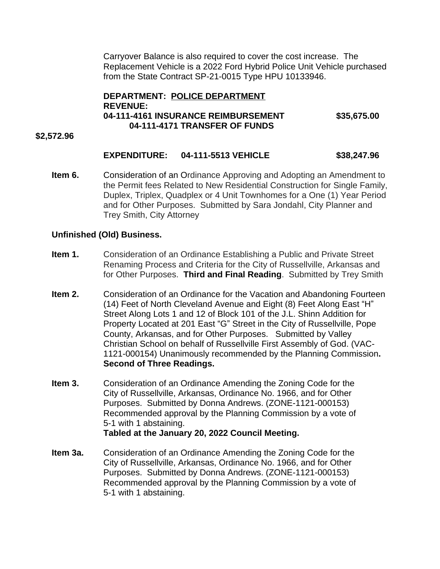Carryover Balance is also required to cover the cost increase. The Replacement Vehicle is a 2022 Ford Hybrid Police Unit Vehicle purchased from the State Contract SP-21-0015 Type HPU 10133946.

### **DEPARTMENT: POLICE DEPARTMENT REVENUE: 04-111-4161 INSURANCE REIMBURSEMENT \$35,675.00 04-111-4171 TRANSFER OF FUNDS**

#### **\$2,572.96**

### **EXPENDITURE: 04-111-5513 VEHICLE \$38,247.96**

**Item 6.** Consideration of an Ordinance Approving and Adopting an Amendment to the Permit fees Related to New Residential Construction for Single Family, Duplex, Triplex, Quadplex or 4 Unit Townhomes for a One (1) Year Period and for Other Purposes. Submitted by Sara Jondahl, City Planner and Trey Smith, City Attorney

#### **Unfinished (Old) Business.**

- **Item 1.** Consideration of an Ordinance Establishing a Public and Private Street Renaming Process and Criteria for the City of Russellville, Arkansas and for Other Purposes. **Third and Final Reading**. Submitted by Trey Smith
- **Item 2.** Consideration of an Ordinance for the Vacation and Abandoning Fourteen (14) Feet of North Cleveland Avenue and Eight (8) Feet Along East "H" Street Along Lots 1 and 12 of Block 101 of the J.L. Shinn Addition for Property Located at 201 East "G" Street in the City of Russellville, Pope County, Arkansas, and for Other Purposes. Submitted by Valley Christian School on behalf of Russellville First Assembly of God. (VAC-1121-000154) Unanimously recommended by the Planning Commission**. Second of Three Readings.**
- **Item 3.** Consideration of an Ordinance Amending the Zoning Code for the City of Russellville, Arkansas, Ordinance No. 1966, and for Other Purposes. Submitted by Donna Andrews. (ZONE-1121-000153) Recommended approval by the Planning Commission by a vote of 5-1 with 1 abstaining. **Tabled at the January 20, 2022 Council Meeting.**
- **Item 3a.** Consideration of an Ordinance Amending the Zoning Code for the City of Russellville, Arkansas, Ordinance No. 1966, and for Other Purposes. Submitted by Donna Andrews. (ZONE-1121-000153) Recommended approval by the Planning Commission by a vote of 5-1 with 1 abstaining.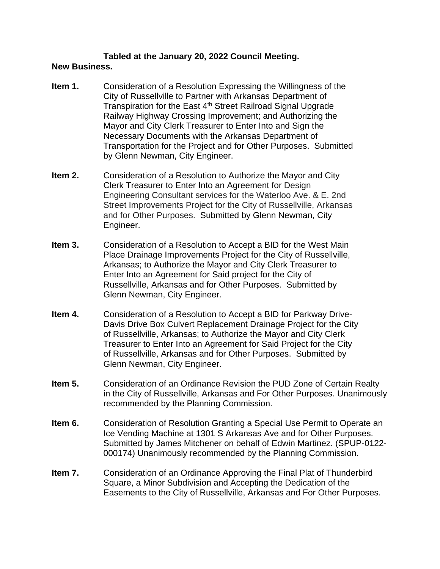#### **Tabled at the January 20, 2022 Council Meeting. New Business.**

- **Item 1.** Consideration of a Resolution Expressing the Willingness of the City of Russellville to Partner with Arkansas Department of Transpiration for the East 4<sup>th</sup> Street Railroad Signal Upgrade Railway Highway Crossing Improvement; and Authorizing the Mayor and City Clerk Treasurer to Enter Into and Sign the Necessary Documents with the Arkansas Department of Transportation for the Project and for Other Purposes. Submitted by Glenn Newman, City Engineer.
- **Item 2.** Consideration of a Resolution to Authorize the Mayor and City Clerk Treasurer to Enter Into an Agreement for Design Engineering Consultant services for the Waterloo Ave. & E. 2nd Street Improvements Project for the City of Russellville, Arkansas and for Other Purposes. Submitted by Glenn Newman, City Engineer.
- **Item 3.** Consideration of a Resolution to Accept a BID for the West Main Place Drainage Improvements Project for the City of Russellville, Arkansas; to Authorize the Mayor and City Clerk Treasurer to Enter Into an Agreement for Said project for the City of Russellville, Arkansas and for Other Purposes. Submitted by Glenn Newman, City Engineer.
- **Item 4.** Consideration of a Resolution to Accept a BID for Parkway Drive-Davis Drive Box Culvert Replacement Drainage Project for the City of Russellville, Arkansas; to Authorize the Mayor and City Clerk Treasurer to Enter Into an Agreement for Said Project for the City of Russellville, Arkansas and for Other Purposes. Submitted by Glenn Newman, City Engineer.
- **Item 5.** Consideration of an Ordinance Revision the PUD Zone of Certain Realty in the City of Russellville, Arkansas and For Other Purposes. Unanimously recommended by the Planning Commission.
- **Item 6.** Consideration of Resolution Granting a Special Use Permit to Operate an Ice Vending Machine at 1301 S Arkansas Ave and for Other Purposes. Submitted by James Mitchener on behalf of Edwin Martinez. (SPUP-0122- 000174) Unanimously recommended by the Planning Commission.
- **Item 7.** Consideration of an Ordinance Approving the Final Plat of Thunderbird Square, a Minor Subdivision and Accepting the Dedication of the Easements to the City of Russellville, Arkansas and For Other Purposes.